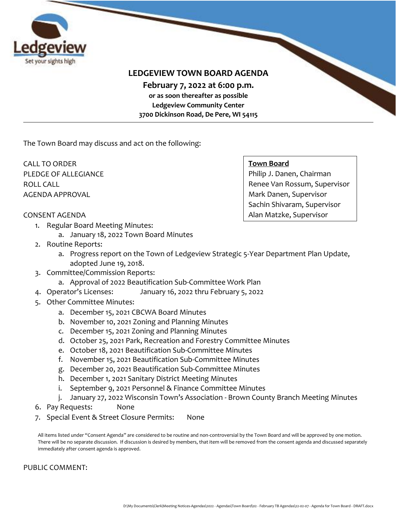

## **LEDGEVIEW TOWN BOARD AGENDA**

**February 7, 2022 at 6:00 p.m. or as soon thereafter as possible**

**Ledgeview Community Center 3700 Dickinson Road, De Pere, WI 54115**

The Town Board may discuss and act on the following:

CALL TO ORDER PLEDGE OF ALLEGIANCE ROLL CALL AGENDA APPROVAL

#### **Town Board**

Philip J. Danen, Chairman Renee Van Rossum, Supervisor Mark Danen, Supervisor Sachin Shivaram, Supervisor Alan Matzke, Supervisor

### CONSENT AGENDA

- 1. Regular Board Meeting Minutes:
	- a. January 18, 2022 Town Board Minutes
- 2. Routine Reports:
	- a. Progress report on the Town of Ledgeview Strategic 5-Year Department Plan Update, adopted June 19, 2018.
- 3. Committee/Commission Reports:
	- a. Approval of 2022 Beautification Sub-Committee Work Plan
- 4. Operator's Licenses: January 16, 2022 thru February 5, 2022
- 5. Other Committee Minutes:
	- a. December 15, 2021 CBCWA Board Minutes
	- b. November 10, 2021 Zoning and Planning Minutes
	- c. December 15, 2021 Zoning and Planning Minutes
	- d. October 25, 2021 Park, Recreation and Forestry Committee Minutes
	- e. October 18, 2021 Beautification Sub-Committee Minutes
	- f. November 15, 2021 Beautification Sub-Committee Minutes
	- g. December 20, 2021 Beautification Sub-Committee Minutes
	- h. December 1, 2021 Sanitary District Meeting Minutes
	- i. September 9, 2021 Personnel & Finance Committee Minutes
	- j. January 27, 2022 Wisconsin Town's Association Brown County Branch Meeting Minutes
- 6. Pay Requests: None
- 7. Special Event & Street Closure Permits: None

All items listed under "Consent Agenda" are considered to be routine and non-controversial by the Town Board and will be approved by one motion. There will be no separate discussion. If discussion is desired by members, that item will be removed from the consent agenda and discussed separately immediately after consent agenda is approved.

#### PUBLIC COMMENT: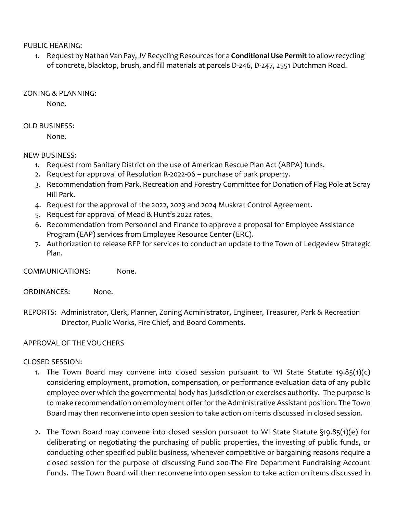PUBLIC HEARING:

1. Request by Nathan Van Pay, JV Recycling Resources for a **Conditional Use Permit**to allow recycling of concrete, blacktop, brush, and fill materials at parcels D-246, D-247, 2551 Dutchman Road.

ZONING & PLANNING:

None.

## OLD BUSINESS:

None.

## NEW BUSINESS:

- 1. Request from Sanitary District on the use of American Rescue Plan Act (ARPA) funds.
- 2. Request for approval of Resolution R-2022-06 purchase of park property.
- 3. Recommendation from Park, Recreation and Forestry Committee for Donation of Flag Pole at Scray Hill Park.
- 4. Request for the approval of the 2022, 2023 and 2024 Muskrat Control Agreement.
- 5. Request for approval of Mead & Hunt's 2022 rates.
- 6. Recommendation from Personnel and Finance to approve a proposal for Employee Assistance Program (EAP) services from Employee Resource Center (ERC).
- 7. Authorization to release RFP for services to conduct an update to the Town of Ledgeview Strategic Plan.

COMMUNICATIONS: None.

- ORDINANCES: None.
- REPORTS: Administrator, Clerk, Planner, Zoning Administrator, Engineer, Treasurer, Park & Recreation Director, Public Works, Fire Chief, and Board Comments.

## APPROVAL OF THE VOUCHERS

## CLOSED SESSION:

- 1. The Town Board may convene into closed session pursuant to WI State Statute 19.85(1)(c) considering employment, promotion, compensation, or performance evaluation data of any public employee over which the governmental body has jurisdiction or exercises authority. The purpose is to make recommendation on employment offer for the Administrative Assistant position. The Town Board may then reconvene into open session to take action on items discussed in closed session.
- 2. The Town Board may convene into closed session pursuant to WI State Statute §19.85(1)(e) for deliberating or negotiating the purchasing of public properties, the investing of public funds, or conducting other specified public business, whenever competitive or bargaining reasons require a closed session for the purpose of discussing Fund 200-The Fire Department Fundraising Account Funds. The Town Board will then reconvene into open session to take action on items discussed in